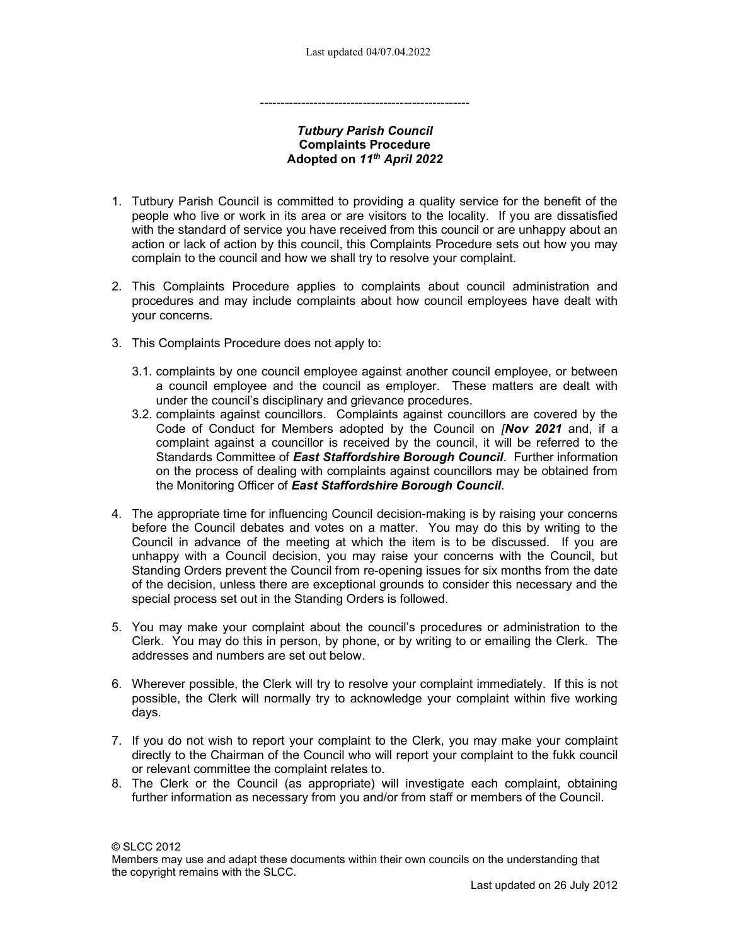## Tutbury Parish Council Complaints Procedure Adopted on 11th April 2022

---------------------------------------------------

- 1. Tutbury Parish Council is committed to providing a quality service for the benefit of the people who live or work in its area or are visitors to the locality. If you are dissatisfied with the standard of service you have received from this council or are unhappy about an action or lack of action by this council, this Complaints Procedure sets out how you may complain to the council and how we shall try to resolve your complaint.
- 2. This Complaints Procedure applies to complaints about council administration and procedures and may include complaints about how council employees have dealt with your concerns.
- 3. This Complaints Procedure does not apply to:
	- 3.1. complaints by one council employee against another council employee, or between a council employee and the council as employer. These matters are dealt with under the council's disciplinary and grievance procedures.
	- 3.2. complaints against councillors. Complaints against councillors are covered by the Code of Conduct for Members adopted by the Council on **[Nov 2021** and, if a complaint against a councillor is received by the council, it will be referred to the Standards Committee of East Staffordshire Borough Council. Further information on the process of dealing with complaints against councillors may be obtained from the Monitoring Officer of East Staffordshire Borough Council.
- 4. The appropriate time for influencing Council decision-making is by raising your concerns before the Council debates and votes on a matter. You may do this by writing to the Council in advance of the meeting at which the item is to be discussed. If you are unhappy with a Council decision, you may raise your concerns with the Council, but Standing Orders prevent the Council from re-opening issues for six months from the date of the decision, unless there are exceptional grounds to consider this necessary and the special process set out in the Standing Orders is followed.
- 5. You may make your complaint about the council's procedures or administration to the Clerk. You may do this in person, by phone, or by writing to or emailing the Clerk. The addresses and numbers are set out below.
- 6. Wherever possible, the Clerk will try to resolve your complaint immediately. If this is not possible, the Clerk will normally try to acknowledge your complaint within five working days.
- 7. If you do not wish to report your complaint to the Clerk, you may make your complaint directly to the Chairman of the Council who will report your complaint to the fukk council or relevant committee the complaint relates to.
- 8. The Clerk or the Council (as appropriate) will investigate each complaint, obtaining further information as necessary from you and/or from staff or members of the Council.

© SLCC 2012

Members may use and adapt these documents within their own councils on the understanding that the copyright remains with the SLCC.